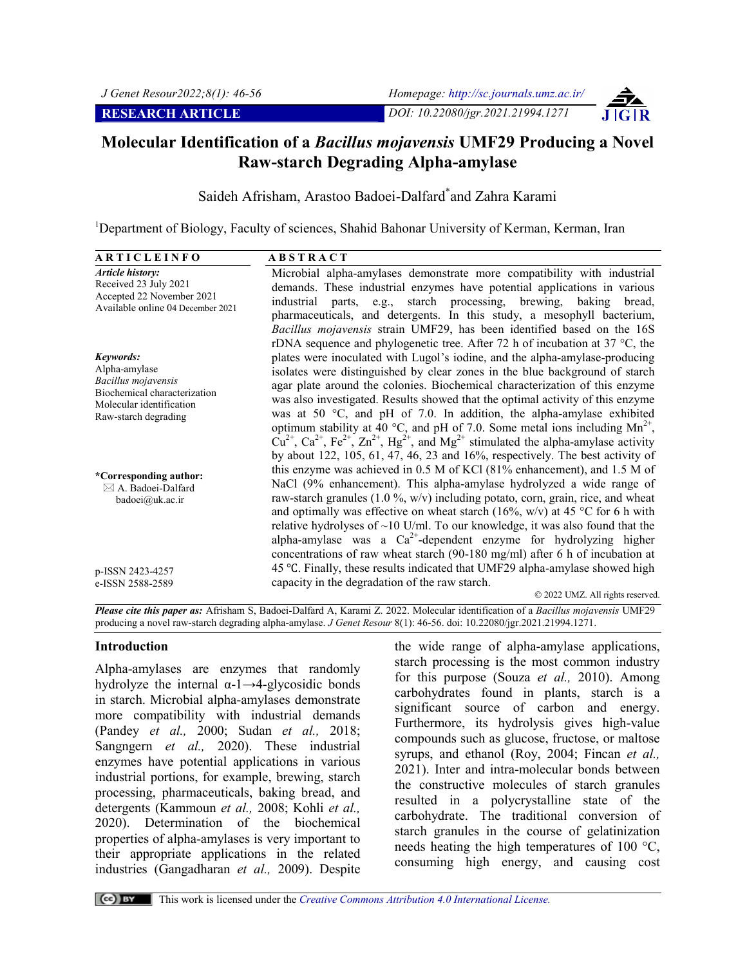# **Molecular Identification of a** *Bacillus mojavensis* **UMF29 Producing a Novel Raw-starch Degrading Alpha-amylase**

## Saideh Afrisham, Arastoo Badoei-Dalfard\* and Zahra Karami

<sup>1</sup>Department of Biology, Faculty of sciences, Shahid Bahonar University of Kerman, Kerman, Iran

**RESEARCH ARTICLE** *DOI: 10.22080/jgr.2021.21994.1271*

| <b>ARTICLEINFO</b>                                                                                                                    | <b>ABSTRACT</b>                                                                                                                                                                                                                                                                                                                                                                                                                                                                                                                                                                                                       |
|---------------------------------------------------------------------------------------------------------------------------------------|-----------------------------------------------------------------------------------------------------------------------------------------------------------------------------------------------------------------------------------------------------------------------------------------------------------------------------------------------------------------------------------------------------------------------------------------------------------------------------------------------------------------------------------------------------------------------------------------------------------------------|
| <b>Article history:</b><br>Received 23 July 2021<br>Accepted 22 November 2021<br>Available online 04 December 2021                    | Microbial alpha-amylases demonstrate more compatibility with industrial<br>demands. These industrial enzymes have potential applications in various<br>starch processing, brewing,<br>baking bread,<br>industrial<br>parts, e.g.,<br>pharmaceuticals, and detergents. In this study, a mesophyll bacterium,<br>Bacillus mojavensis strain UMF29, has been identified based on the 16S                                                                                                                                                                                                                                 |
| Keywords:<br>Alpha-amylase<br>Bacillus mojavensis<br>Biochemical characterization<br>Molecular identification<br>Raw-starch degrading | rDNA sequence and phylogenetic tree. After 72 h of incubation at 37 $\degree$ C, the<br>plates were inoculated with Lugol's iodine, and the alpha-amylase-producing<br>isolates were distinguished by clear zones in the blue background of starch<br>agar plate around the colonies. Biochemical characterization of this enzyme<br>was also investigated. Results showed that the optimal activity of this enzyme<br>was at 50 $\degree$ C, and pH of 7.0. In addition, the alpha-amylase exhibited<br>optimum stability at 40 °C, and pH of 7.0. Some metal ions including $Mn^{2+}$ ,                             |
| *Corresponding author:<br>⊠ A. Badoei-Dalfard<br>badoei(a)uk.ac.in                                                                    | $Cu^{2+}$ , $Ca^{2+}$ , $Fe^{2+}$ , $Zn^{2+}$ , $Hg^{2+}$ , and $Mg^{2+}$ stimulated the alpha-amylase activity<br>by about 122, 105, 61, 47, 46, 23 and $16\%$ , respectively. The best activity of<br>this enzyme was achieved in 0.5 M of KCl (81% enhancement), and 1.5 M of<br>NaCl (9% enhancement). This alpha-amylase hydrolyzed a wide range of<br>raw-starch granules $(1.0\%$ , w/v) including potato, corn, grain, rice, and wheat<br>and optimally was effective on wheat starch (16%, w/v) at 45 °C for 6 h with<br>relative hydrolyses of $\sim$ 10 U/ml. To our knowledge, it was also found that the |
| p-ISSN 2423-4257<br>e-ISSN 2588-2589                                                                                                  | alpha-amylase was a $Ca^{2+}$ -dependent enzyme for hydrolyzing higher<br>concentrations of raw wheat starch (90-180 mg/ml) after 6 h of incubation at<br>45 °C. Finally, these results indicated that UMF29 alpha-amylase showed high<br>capacity in the degradation of the raw starch.<br>© 2022 UMZ. All rights reserved.                                                                                                                                                                                                                                                                                          |

*Please cite this paper as:* Afrisham S, Badoei-Dalfard A, Karami Z. 2022. Molecular identification of a *Bacillus mojavensis* UMF29 producing a novel raw-starch degrading alpha-amylase. *J Genet Resour* 8(1): 46-56. doi: 10.22080/jgr.2021.21994.1271.

#### **Introduction**

Alpha-amylases are enzymes that randomly hydrolyze the internal  $\alpha$ -1→4-glycosidic bonds in starch. Microbial alpha-amylases demonstrate more compatibility with industrial demands (Pandey *et al.,* 2000; Sudan *et al.,* 2018; Sangngern *et al.,* 2020). These industrial enzymes have potential applications in various industrial portions, for example, brewing, starch processing, pharmaceuticals, baking bread, and detergents (Kammoun *et al.,* 2008; Kohli *et al.,* 2020). Determination of the biochemical properties of alpha-amylases is very important to their appropriate applications in the related industries (Gangadharan *et al.,* 2009). Despite

the wide range of alpha-amylase applications, starch processing is the most common industry for this purpose (Souza *et al.,* 2010). Among carbohydrates found in plants, starch is a significant source of carbon and energy. Furthermore, its hydrolysis gives high-value compounds such as glucose, fructose, or maltose syrups, and ethanol (Roy, 2004; Fincan *et al.,* 2021). Inter and intra-molecular bonds between the constructive molecules of starch granules resulted in a polycrystalline state of the carbohydrate. The traditional conversion of starch granules in the course of gelatinization needs heating the high temperatures of 100 °C, consuming high energy, and causing cost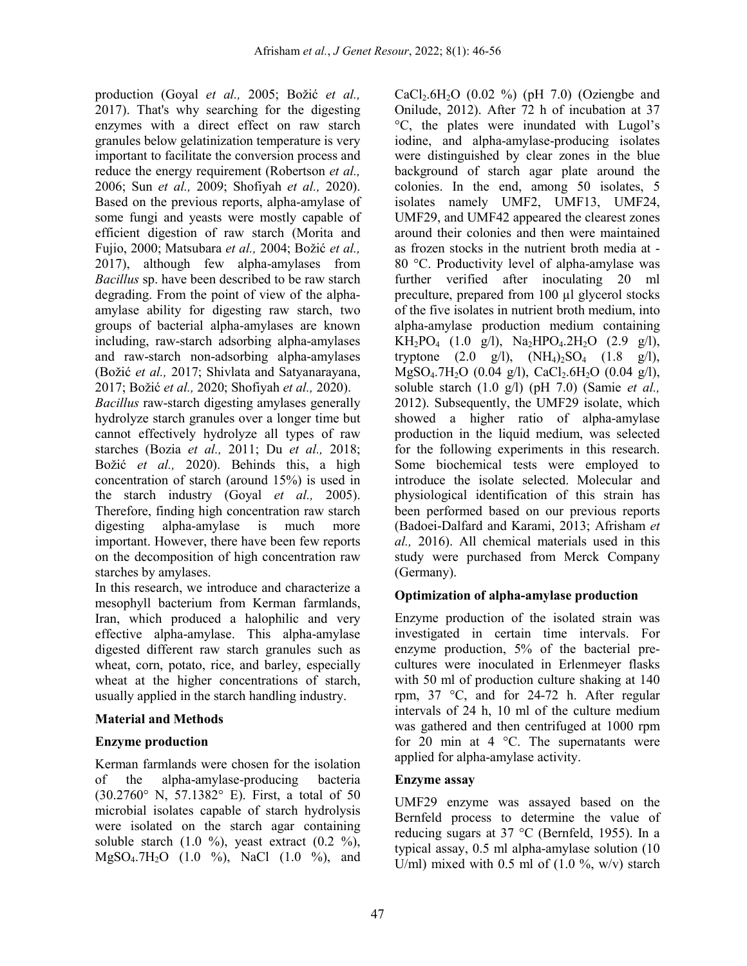production (Goyal *et al.,* 2005; Božić *et al.,*  2017). That's why searching for the digesting enzymes with a direct effect on raw starch granules below gelatinization temperature is very important to facilitate the conversion process and reduce the energy requirement (Robertson *et al.,* 2006; Sun *et al.,* 2009; Shofiyah *et al.,* 2020). Based on the previous reports, alpha-amylase of some fungi and yeasts were mostly capable of efficient digestion of raw starch (Morita and Fujio, 2000; Matsubara *et al.,* 2004; Božić *et al.,*  2017), although few alpha-amylases from *Bacillus* sp. have been described to be raw starch degrading. From the point of view of the alphaamylase ability for digesting raw starch, two groups of bacterial alpha-amylases are known including, raw-starch adsorbing alpha-amylases and raw-starch non-adsorbing alpha-amylases (Božić *et al.,* 2017; Shivlata and Satyanarayana, 2017; Božić *et al.,* 2020; Shofiyah *et al.,* 2020).

*Bacillus* raw-starch digesting amylases generally hydrolyze starch granules over a longer time but cannot effectively hydrolyze all types of raw starches (Bozia *et al.,* 2011; Du *et al.,* 2018; Božić *et al.,* 2020). Behinds this, a high concentration of starch (around 15%) is used in the starch industry (Goyal *et al.,* 2005). Therefore, finding high concentration raw starch digesting alpha-amylase is much more important. However, there have been few reports on the decomposition of high concentration raw starches by amylases.

In this research, we introduce and characterize a mesophyll bacterium from Kerman farmlands, Iran, which produced a halophilic and very effective alpha-amylase. This alpha-amylase digested different raw starch granules such as wheat, corn, potato, rice, and barley, especially wheat at the higher concentrations of starch, usually applied in the starch handling industry.

### **Material and Methods**

### **Enzyme production**

Kerman farmlands were chosen for the isolation of the alpha-amylase-producing bacteria (30.2760° N, 57.1382° E). First, a total of 50 microbial isolates capable of starch hydrolysis were isolated on the starch agar containing soluble starch  $(1.0 \%)$ , yeast extract  $(0.2 \%)$ , MgSO4.7H2O (1.0 %), NaCl (1.0 %), and

 $CaCl<sub>2</sub>.6H<sub>2</sub>O$  (0.02 %) (pH 7.0) (Oziengbe and Onilude, 2012). After 72 h of incubation at 37 °C, the plates were inundated with Lugol's iodine, and alpha-amylase-producing isolates were distinguished by clear zones in the blue background of starch agar plate around the colonies. In the end, among 50 isolates, 5 isolates namely UMF2, UMF13, UMF24, UMF29, and UMF42 appeared the clearest zones around their colonies and then were maintained as frozen stocks in the nutrient broth media at - 80 °C. Productivity level of alpha-amylase was further verified after inoculating 20 ml preculture, prepared from 100 µl glycerol stocks of the five isolates in nutrient broth medium, into alpha-amylase production medium containing  $KH_2PO_4$  (1.0 g/l), Na<sub>2</sub>HPO<sub>4</sub>.2H<sub>2</sub>O (2.9 g/l), tryptone  $(2.0 \text{ g/l})$ ,  $(NH_4)_2SO_4$   $(1.8 \text{ g/l})$ ,  $MgSO_4.7H_2O$  (0.04 g/l), CaCl<sub>2</sub>.6H<sub>2</sub>O (0.04 g/l), soluble starch (1.0 g/l) (pH 7.0) (Samie *et al.,* 2012). Subsequently, the UMF29 isolate, which showed a higher ratio of alpha-amylase production in the liquid medium, was selected for the following experiments in this research. Some biochemical tests were employed to introduce the isolate selected. Molecular and physiological identification of this strain has been performed based on our previous reports (Badoei-Dalfard and Karami, 2013; Afrisham *et al.,* 2016). All chemical materials used in this study were purchased from Merck Company (Germany).

### **Optimization of alpha-amylase production**

Enzyme production of the isolated strain was investigated in certain time intervals. For enzyme production, 5% of the bacterial precultures were inoculated in Erlenmeyer flasks with 50 ml of production culture shaking at 140 rpm, 37 °C, and for 24-72 h. After regular intervals of 24 h, 10 ml of the culture medium was gathered and then centrifuged at 1000 rpm for 20 min at 4  $\degree$ C. The supernatants were applied for alpha-amylase activity.

### **Enzyme assay**

UMF29 enzyme was assayed based on the Bernfeld process to determine the value of reducing sugars at 37 °C (Bernfeld, 1955). In a typical assay, 0.5 ml alpha-amylase solution (10 U/ml) mixed with 0.5 ml of  $(1.0 \%, w/v)$  starch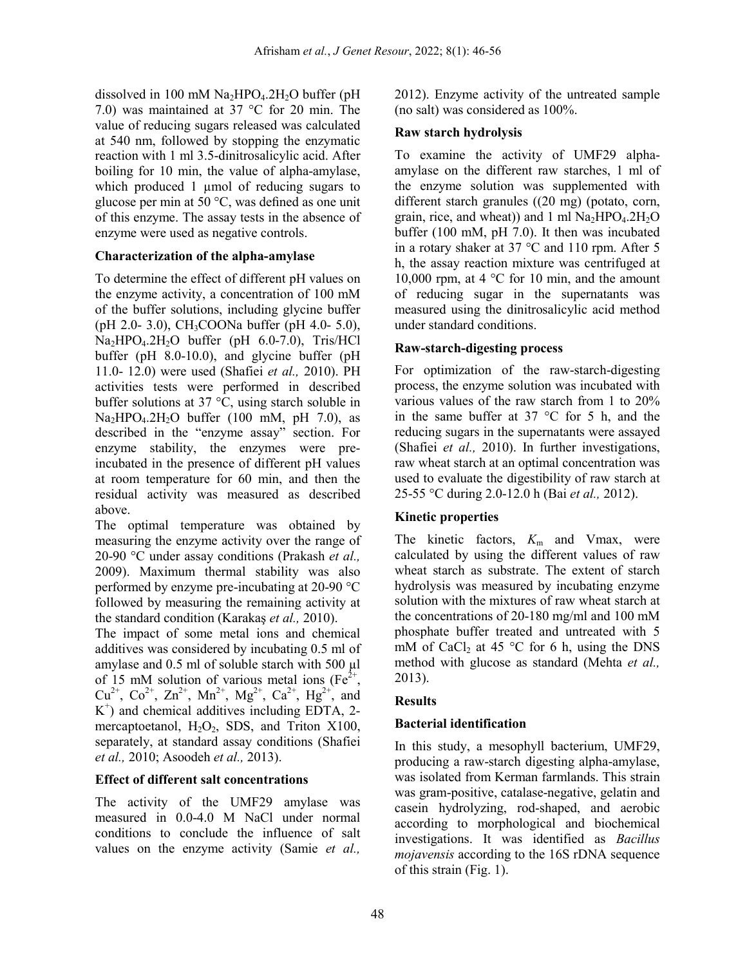dissolved in 100 mM  $Na<sub>2</sub>HPO<sub>4</sub>$ .2H<sub>2</sub>O buffer (pH 7.0) was maintained at 37 °C for 20 min. The value of reducing sugars released was calculated at 540 nm, followed by stopping the enzymatic reaction with 1 ml 3.5-dinitrosalicylic acid. After boiling for 10 min, the value of alpha-amylase, which produced 1 µmol of reducing sugars to glucose per min at 50 °C, was defined as one unit of this enzyme. The assay tests in the absence of enzyme were used as negative controls.

#### **Characterization of the alpha-amylase**

To determine the effect of different pH values on the enzyme activity, a concentration of 100 mM of the buffer solutions, including glycine buffer (pH 2.0- 3.0), CH<sub>3</sub>COONa buffer (pH 4.0- 5.0),  $Na<sub>2</sub>HPO<sub>4</sub>$ .2H<sub>2</sub>O buffer (pH 6.0-7.0), Tris/HCl buffer (pH 8.0-10.0), and glycine buffer (pH 11.0- 12.0) were used (Shafiei *et al.,* 2010). PH activities tests were performed in described buffer solutions at 37 °C, using starch soluble in  $Na<sub>2</sub>HPO<sub>4</sub>$ .2H<sub>2</sub>O buffer (100 mM, pH 7.0), as described in the "enzyme assay" section. For enzyme stability, the enzymes were preincubated in the presence of different pH values at room temperature for 60 min, and then the residual activity was measured as described above.

The optimal temperature was obtained by measuring the enzyme activity over the range of 20-90 °C under assay conditions (Prakash *et al.,* 2009). Maximum thermal stability was also performed by enzyme pre-incubating at 20-90 °C followed by measuring the remaining activity at the standard condition (Karakaş *et al.,* 2010).

The impact of some metal ions and chemical additives was considered by incubating 0.5 ml of amylase and 0.5 ml of soluble starch with 500 µl of 15 mM solution of various metal ions ( $Fe<sup>2+</sup>$ ,  $Cu^{2+}$ ,  $Co^{2+}$ ,  $Zn^{2+}$ ,  $Mn^{2+}$ ,  $Mg^{2+}$ ,  $Ca^{2+}$ ,  $Hg^{2+}$ , and K+ ) and chemical additives including EDTA, 2 mercaptoetanol,  $H_2O_2$ , SDS, and Triton X100, separately, at standard assay conditions (Shafiei *et al.,* 2010; Asoodeh *et al.,* 2013).

### **Effect of different salt concentrations**

The activity of the UMF29 amylase was measured in 0.0-4.0 M NaCl under normal conditions to conclude the influence of salt values on the enzyme activity (Samie *et al.,*

2012). Enzyme activity of the untreated sample (no salt) was considered as 100%.

#### **Raw starch hydrolysis**

To examine the activity of UMF29 alphaamylase on the different raw starches, 1 ml of the enzyme solution was supplemented with different starch granules ((20 mg) (potato, corn, grain, rice, and wheat)) and 1 ml  $Na<sub>2</sub>HPO<sub>4</sub>$ .2H<sub>2</sub>O buffer (100 mM, pH 7.0). It then was incubated in a rotary shaker at 37 °C and 110 rpm. After 5 h, the assay reaction mixture was centrifuged at 10,000 rpm, at 4 °C for 10 min, and the amount of reducing sugar in the supernatants was measured using the dinitrosalicylic acid method under standard conditions.

### **Raw-starch-digesting process**

For optimization of the raw-starch-digesting process, the enzyme solution was incubated with various values of the raw starch from 1 to 20% in the same buffer at 37 °C for 5 h, and the reducing sugars in the supernatants were assayed (Shafiei *et al.,* 2010). In further investigations, raw wheat starch at an optimal concentration was used to evaluate the digestibility of raw starch at 25-55 °C during 2.0-12.0 h (Bai *et al.,* 2012).

### **Kinetic properties**

The kinetic factors,  $K<sub>m</sub>$  and Vmax, were calculated by using the different values of raw wheat starch as substrate. The extent of starch hydrolysis was measured by incubating enzyme solution with the mixtures of raw wheat starch at the concentrations of 20-180 mg/ml and 100 mM phosphate buffer treated and untreated with 5 mM of CaCl<sub>2</sub> at 45  $\degree$ C for 6 h, using the DNS method with glucose as standard (Mehta *et al.,* 2013).

### **Results**

### **Bacterial identification**

In this study, a mesophyll bacterium, UMF29, producing a raw-starch digesting alpha-amylase, was isolated from Kerman farmlands. This strain was gram-positive, catalase-negative, gelatin and casein hydrolyzing, rod-shaped, and aerobic according to morphological and biochemical investigations. It was identified as *Bacillus mojavensis* according to the 16S rDNA sequence of this strain (Fig. 1).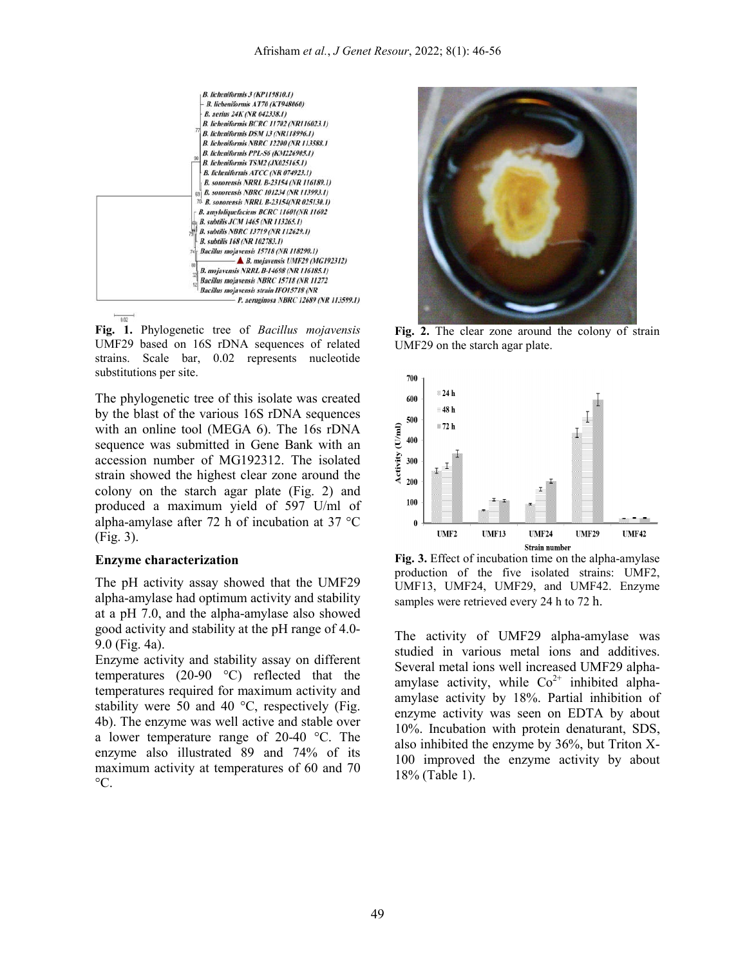

**Fig. 1.** Phylogenetic tree of *Bacillus mojavensis* UMF29 based on 16S rDNA sequences of related strains. Scale bar, 0.02 represents nucleotide substitutions per site.

The phylogenetic tree of this isolate was created by the blast of the various 16S rDNA sequences with an online tool (MEGA 6). The 16s rDNA sequence was submitted in Gene Bank with an accession number of MG192312. The isolated strain showed the highest clear zone around the colony on the starch agar plate (Fig. 2) and produced a maximum yield of 597 U/ml of alpha-amylase after 72 h of incubation at 37 °C (Fig. 3).

#### **Enzyme characterization**

The pH activity assay showed that the UMF29 alpha-amylase had optimum activity and stability at a pH 7.0, and the alpha-amylase also showed good activity and stability at the pH range of 4.0- 9.0 (Fig. 4a).

Enzyme activity and stability assay on different temperatures (20-90 °C) reflected that the temperatures required for maximum activity and stability were 50 and 40  $^{\circ}$ C, respectively (Fig. 4b). The enzyme was well active and stable over a lower temperature range of 20-40 °C. The enzyme also illustrated 89 and 74% of its maximum activity at temperatures of 60 and 70  $\rm{^{\circ}C}$ .



**Fig. 2.** The clear zone around the colony of strain UMF29 on the starch agar plate.



**Fig. 3.** Effect of incubation time on the alpha-amylase production of the five isolated strains: UMF2, UMF13, UMF24, UMF29, and UMF42. Enzyme samples were retrieved every 24 h to 72 h.

The activity of UMF29 alpha-amylase was studied in various metal ions and additives. Several metal ions well increased UMF29 alphaamylase activity, while  $Co^{2+}$  inhibited alphaamylase activity by 18%. Partial inhibition of enzyme activity was seen on EDTA by about 10%. Incubation with protein denaturant, SDS, also inhibited the enzyme by 36%, but Triton X-100 improved the enzyme activity by about 18% (Table 1).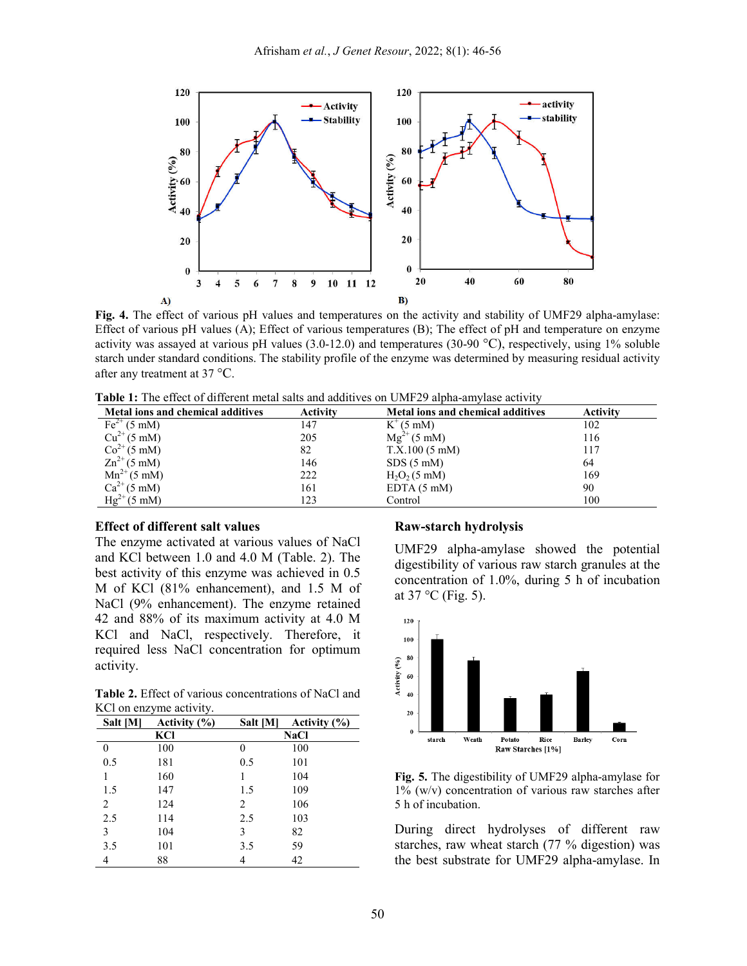

**Fig. 4.** The effect of various pH values and temperatures on the activity and stability of UMF29 alpha-amylase: Effect of various pH values (A); Effect of various temperatures (B); The effect of pH and temperature on enzyme activity was assayed at various pH values  $(3.0-12.0)$  and temperatures  $(30-90 \degree C)$ , respectively, using 1% soluble starch under standard conditions. The stability profile of the enzyme was determined by measuring residual activity after any treatment at 37 °C.

**Table 1:** The effect of different metal salts and additives on UMF29 alpha-amylase activity

| <b>Metal ions and chemical additives</b> | <b>Activity</b> | <b>Metal ions and chemical additives</b> | <b>Activity</b> |
|------------------------------------------|-----------------|------------------------------------------|-----------------|
| $Fe^{2+}$ (5 mM)                         | 147             | $K^+(5 \text{ mM})$                      | 102             |
| $Cu^{2+} (5 \text{ mM})$                 | 205             | $Mg^{2+}(5 \text{ mM})$                  | 116             |
| $Co^{2+}(5 \text{ mM})$                  | 82              | T.X.100(5 mM)                            | 117             |
| $Zn^{2+}(5 \text{ mM})$                  | 146             | SDS(5 <sub>m</sub> )                     | 64              |
| $Mn^{2+}(5 \text{ mM})$                  | 222             | $H_2O_2(5$ mM)                           | 169             |
| $Ca^{2+}(5 \text{ mM})$                  | 161             | EDTA(5 mM)                               | 90              |
| $Hg^{2+}(5 \text{ mM})$                  | 123             | Control                                  | 100             |

#### **Effect of different salt values**

The enzyme activated at various values of NaCl and KCl between 1.0 and 4.0 M (Table. 2). The best activity of this enzyme was achieved in 0.5 M of KCl (81% enhancement), and 1.5 M of NaCl (9% enhancement). The enzyme retained 42 and 88% of its maximum activity at 4.0 M KCl and NaCl, respectively. Therefore, it required less NaCl concentration for optimum activity.

**Table 2.** Effect of various concentrations of NaCl and KCl on enzyme activity.

| Salt [M] | Activity (%) | Salt [M] | Activity $(\% )$ |
|----------|--------------|----------|------------------|
|          | KCl          |          | <b>NaCl</b>      |
| 0        | 100          |          | 100              |
| 0.5      | 181          | 0.5      | 101              |
| 1        | 160          |          | 104              |
| 1.5      | 147          | 1.5      | 109              |
| 2        | 124          | 2        | 106              |
| 2.5      | 114          | 2.5      | 103              |
| 3        | 104          | 3        | 82               |
| 3.5      | 101          | 3.5      | 59               |
| 4        | 88           | 4        | 42               |

#### **Raw-starch hydrolysis**

UMF29 alpha-amylase showed the potential digestibility of various raw starch granules at the concentration of 1.0%, during 5 h of incubation at  $37 \text{ °C}$  (Fig. 5).



**Fig. 5.** The digestibility of UMF29 alpha-amylase for 1% (w/v) concentration of various raw starches after 5 h of incubation.

During direct hydrolyses of different raw starches, raw wheat starch (77 % digestion) was the best substrate for UMF29 alpha-amylase. In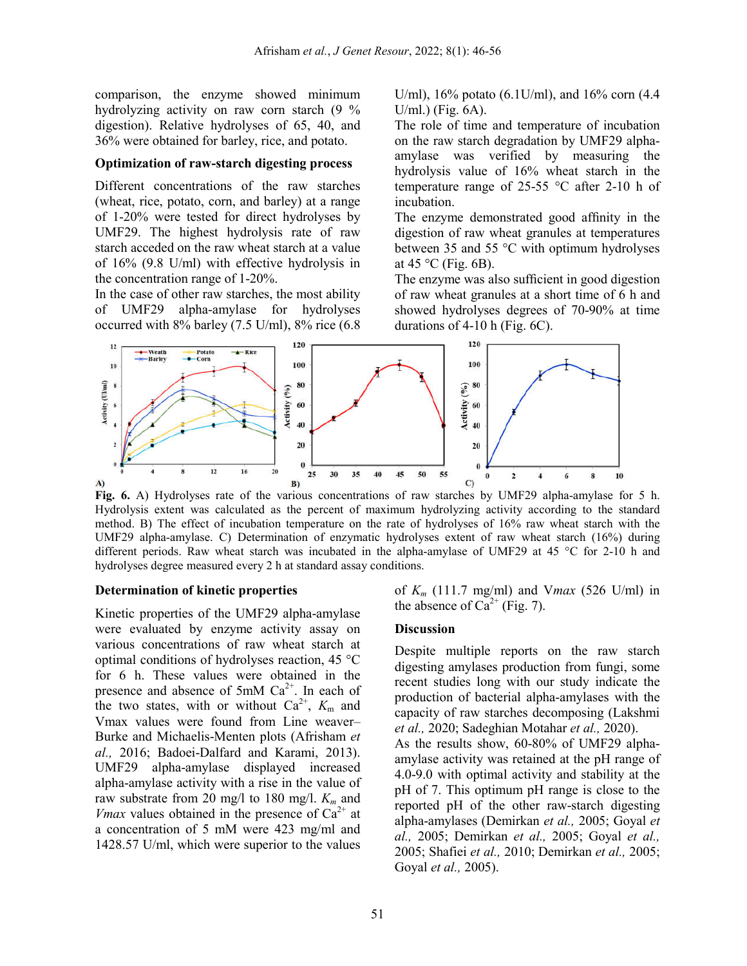comparison, the enzyme showed minimum hydrolyzing activity on raw corn starch (9 % digestion). Relative hydrolyses of 65, 40, and 36% were obtained for barley, rice, and potato.

#### **Optimization of raw-starch digesting process**

Different concentrations of the raw starches (wheat, rice, potato, corn, and barley) at a range of 1-20% were tested for direct hydrolyses by UMF29. The highest hydrolysis rate of raw starch acceded on the raw wheat starch at a value of 16% (9.8 U/ml) with effective hydrolysis in the concentration range of 1-20%.

In the case of other raw starches, the most ability of UMF29 alpha-amylase for hydrolyses occurred with 8% barley (7.5 U/ml), 8% rice (6.8 U/ml), 16% potato (6.1U/ml), and 16% corn (4.4 U/ml.) (Fig. 6A).

The role of time and temperature of incubation on the raw starch degradation by UMF29 alphaamylase was verified by measuring the hydrolysis value of 16% wheat starch in the temperature range of 25-55 °C after 2-10 h of incubation.

The enzyme demonstrated good affinity in the digestion of raw wheat granules at temperatures between 35 and 55 °C with optimum hydrolyses at  $45 \text{ °C}$  (Fig. 6B).

The enzyme was also sufficient in good digestion of raw wheat granules at a short time of 6 h and showed hydrolyses degrees of 70-90% at time durations of 4-10 h (Fig. 6C).



**Fig. 6.** A) Hydrolyses rate of the various concentrations of raw starches by UMF29 alpha-amylase for 5 h. Hydrolysis extent was calculated as the percent of maximum hydrolyzing activity according to the standard method. B) The effect of incubation temperature on the rate of hydrolyses of 16% raw wheat starch with the UMF29 alpha-amylase. C) Determination of enzymatic hydrolyses extent of raw wheat starch (16%) during different periods. Raw wheat starch was incubated in the alpha-amylase of UMF29 at 45 °C for 2-10 h and hydrolyses degree measured every 2 h at standard assay conditions.

#### **Determination of kinetic properties**

Kinetic properties of the UMF29 alpha-amylase were evaluated by enzyme activity assay on various concentrations of raw wheat starch at optimal conditions of hydrolyses reaction, 45 °C for 6 h. These values were obtained in the presence and absence of 5mM  $Ca^{2+}$ . In each of the two states, with or without  $Ca^{2+}$ ,  $K_m$  and Vmax values were found from Line weaver– Burke and Michaelis-Menten plots (Afrisham *et al.,* 2016; Badoei-Dalfard and Karami, 2013). UMF29 alpha-amylase displayed increased alpha-amylase activity with a rise in the value of raw substrate from 20 mg/l to 180 mg/l.  $K_m$  and *Vmax* values obtained in the presence of  $Ca^{2+}$  at a concentration of 5 mM were 423 mg/ml and 1428.57 U/ml, which were superior to the values of *Km* (111.7 mg/ml) and V*max* (526 U/ml) in the absence of  $Ca^{2+}$  (Fig. 7).

#### **Discussion**

Despite multiple reports on the raw starch digesting amylases production from fungi, some recent studies long with our study indicate the production of bacterial alpha-amylases with the capacity of raw starches decomposing (Lakshmi *et al.,* 2020; Sadeghian Motahar *et al.,* 2020).

As the results show, 60-80% of UMF29 alphaamylase activity was retained at the pH range of 4.0-9.0 with optimal activity and stability at the pH of 7. This optimum pH range is close to the reported pH of the other raw-starch digesting alpha-amylases (Demirkan *et al.,* 2005; Goyal *et al.,* 2005; Demirkan *et al.,* 2005; Goyal *et al.,* 2005; Shafiei *et al.,* 2010; Demirkan *et al.,* 2005; Goyal *et al.,* 2005).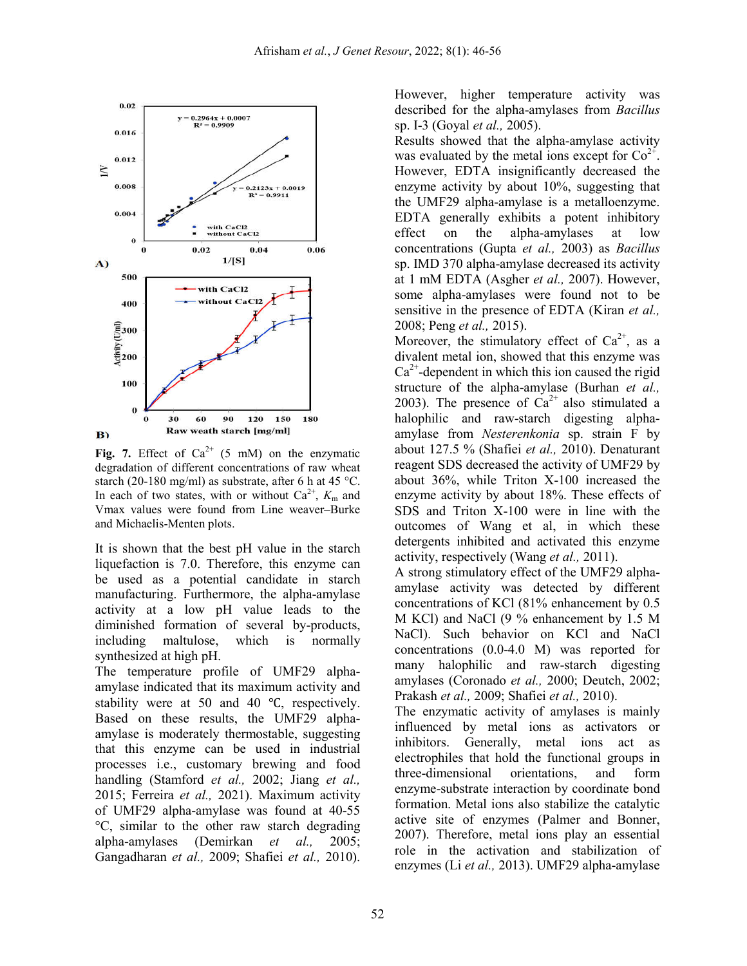

Fig. 7. Effect of  $Ca^{2+}$  (5 mM) on the enzymatic degradation of different concentrations of raw wheat starch (20-180 mg/ml) as substrate, after 6 h at 45 °C. In each of two states, with or without  $Ca^{2+}$ ,  $K_m$  and Vmax values were found from Line weaver–Burke and Michaelis-Menten plots.

It is shown that the best pH value in the starch liquefaction is 7.0. Therefore, this enzyme can be used as a potential candidate in starch manufacturing. Furthermore, the alpha-amylase activity at a low pH value leads to the diminished formation of several by-products, including maltulose, which is normally synthesized at high pH.

The temperature profile of UMF29 alphaamylase indicated that its maximum activity and stability were at 50 and 40 ℃, respectively. Based on these results, the UMF29 alphaamylase is moderately thermostable, suggesting that this enzyme can be used in industrial processes i.e., customary brewing and food handling (Stamford *et al.,* 2002; Jiang *et al.,* 2015; Ferreira *et al.,* 2021). Maximum activity of UMF29 alpha-amylase was found at 40-55 °C, similar to the other raw starch degrading alpha-amylases (Demirkan *et al.,* 2005; Gangadharan *et al.,* 2009; Shafiei *et al.,* 2010).

However, higher temperature activity was described for the alpha-amylases from *Bacillus* sp. I-3 (Goyal *et al.,* 2005).

Results showed that the alpha-amylase activity was evaluated by the metal ions except for  $Co<sup>2+</sup>$ . However, EDTA insignificantly decreased the enzyme activity by about 10%, suggesting that the UMF29 alpha-amylase is a metalloenzyme. EDTA generally exhibits a potent inhibitory effect on the alpha-amylases at low concentrations (Gupta *et al.,* 2003) as *Bacillus* sp. IMD 370 alpha-amylase decreased its activity at 1 mM EDTA (Asgher *et al.,* 2007). However, some alpha-amylases were found not to be sensitive in the presence of EDTA (Kiran *et al.,* 2008; Peng *et al.,* 2015).

Moreover, the stimulatory effect of  $Ca^{2+}$ , as a divalent metal ion, showed that this enzyme was  $Ca<sup>2+</sup>$ -dependent in which this ion caused the rigid structure of the alpha-amylase (Burhan *et al.,* 2003). The presence of  $Ca^{2+}$  also stimulated a halophilic and raw-starch digesting alphaamylase from *Nesterenkonia* sp. strain F by about 127.5 % (Shafiei *et al.,* 2010). Denaturant reagent SDS decreased the activity of UMF29 by about 36%, while Triton X-100 increased the enzyme activity by about 18%. These effects of SDS and Triton X-100 were in line with the outcomes of Wang et al, in which these detergents inhibited and activated this enzyme activity, respectively (Wang *et al.,* 2011).

A strong stimulatory effect of the UMF29 alphaamylase activity was detected by different concentrations of KCl (81% enhancement by 0.5 M KCl) and NaCl (9 % enhancement by 1.5 M NaCl). Such behavior on KCl and NaCl concentrations (0.0-4.0 M) was reported for many halophilic and raw-starch digesting amylases (Coronado *et al.,* 2000; Deutch, 2002; Prakash *et al.,* 2009; Shafiei *et al.,* 2010).

The enzymatic activity of amylases is mainly influenced by metal ions as activators or inhibitors. Generally, metal ions act as electrophiles that hold the functional groups in three-dimensional orientations, and form enzyme-substrate interaction by coordinate bond formation. Metal ions also stabilize the catalytic active site of enzymes (Palmer and Bonner, 2007). Therefore, metal ions play an essential role in the activation and stabilization of enzymes (Li *et al.,* 2013). UMF29 alpha-amylase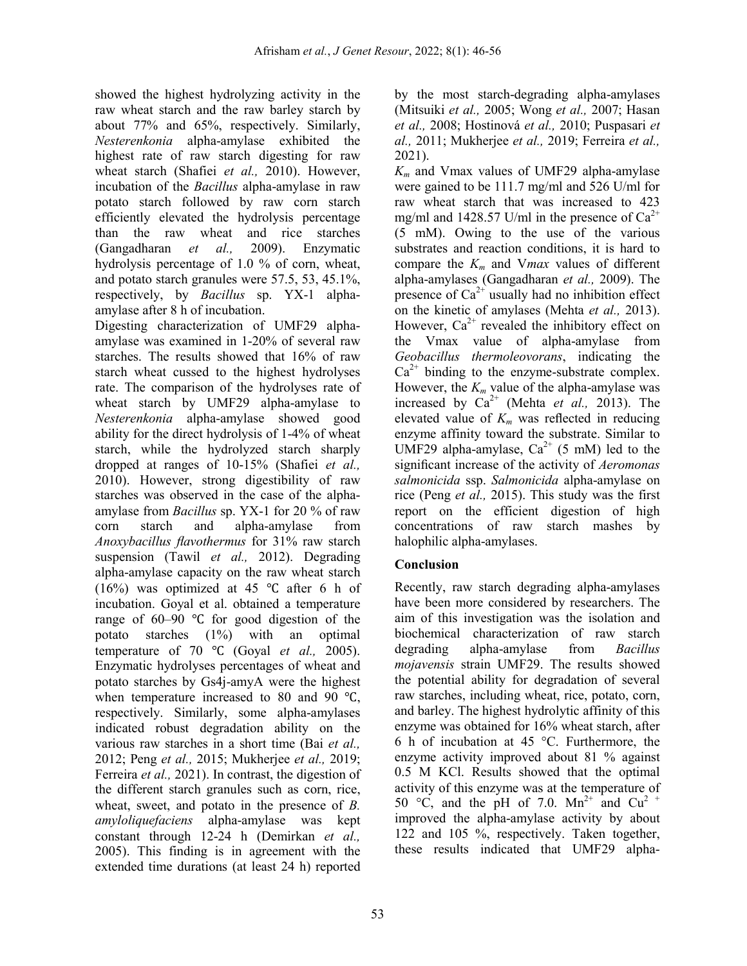showed the highest hydrolyzing activity in the raw wheat starch and the raw barley starch by about 77% and 65%, respectively. Similarly, *Nesterenkonia* alpha-amylase exhibited the highest rate of raw starch digesting for raw wheat starch (Shafiei *et al.,* 2010). However, incubation of the *Bacillus* alpha-amylase in raw potato starch followed by raw corn starch efficiently elevated the hydrolysis percentage than the raw wheat and rice starches (Gangadharan *et al.,* 2009). Enzymatic hydrolysis percentage of 1.0 % of corn, wheat, and potato starch granules were 57.5, 53, 45.1%, respectively, by *Bacillus* sp. YX-1 alphaamylase after 8 h of incubation.

Digesting characterization of UMF29 alphaamylase was examined in 1-20% of several raw starches. The results showed that 16% of raw starch wheat cussed to the highest hydrolyses rate. The comparison of the hydrolyses rate of wheat starch by UMF29 alpha-amylase to *Nesterenkonia* alpha-amylase showed good ability for the direct hydrolysis of 1-4% of wheat starch, while the hydrolyzed starch sharply dropped at ranges of 10-15% (Shafiei *et al.,* 2010). However, strong digestibility of raw starches was observed in the case of the alphaamylase from *Bacillus* sp. YX-1 for 20 % of raw corn starch and alpha-amylase from *Anoxybacillus flavothermus* for 31% raw starch suspension (Tawil *et al.,* 2012). Degrading alpha-amylase capacity on the raw wheat starch (16%) was optimized at 45 °C after 6 h of incubation. Goyal et al. obtained a temperature range of 60–90 ℃ for good digestion of the potato starches (1%) with an optimal temperature of 70 ℃ (Goyal *et al.,* 2005). Enzymatic hydrolyses percentages of wheat and potato starches by Gs4j-amyA were the highest when temperature increased to 80 and 90 ℃, respectively. Similarly, some alpha-amylases indicated robust degradation ability on the various raw starches in a short time (Bai *et al.,* 2012; Peng *et al.,* 2015; Mukherjee *et al.,* 2019; Ferreira *et al.,* 2021). In contrast, the digestion of the different starch granules such as corn, rice, wheat, sweet, and potato in the presence of *B. amyloliquefaciens* alpha-amylase was kept constant through 12-24 h (Demirkan *et al.,* 2005). This finding is in agreement with the extended time durations (at least 24 h) reported

by the most starch-degrading alpha-amylases (Mitsuiki *et al.,* 2005; Wong *et al.,* 2007; Hasan *et al.,* 2008; Hostinová *et al.,* 2010; Puspasari *et al.,* 2011; Mukherjee *et al.,* 2019; Ferreira *et al.,* 2021).

*Km* and Vmax values of UMF29 alpha-amylase were gained to be 111.7 mg/ml and 526 U/ml for raw wheat starch that was increased to 423 mg/ml and 1428.57 U/ml in the presence of  $Ca^{2+}$ (5 mM). Owing to the use of the various substrates and reaction conditions, it is hard to compare the  $K_m$  and V*max* values of different alpha-amylases (Gangadharan *et al.,* 2009). The presence of  $Ca^{2+}$  usually had no inhibition effect on the kinetic of amylases (Mehta *et al.,* 2013). However,  $Ca^{2+}$  revealed the inhibitory effect on the Vmax value of alpha-amylase from *Geobacillus thermoleovorans*, indicating the  $Ca^{2+}$  binding to the enzyme-substrate complex. However, the  $K_m$  value of the alpha-amylase was increased by  $Ca^{2+}$  (Mehta *et al.*, 2013). The elevated value of  $K_m$  was reflected in reducing enzyme affinity toward the substrate. Similar to UMF29 alpha-amylase,  $Ca^{2+}$  (5 mM) led to the significant increase of the activity of *Aeromonas salmonicida* ssp. *Salmonicida* alpha-amylase on rice (Peng *et al.,* 2015). This study was the first report on the efficient digestion of high concentrations of raw starch mashes by halophilic alpha-amylases.

### **Conclusion**

Recently, raw starch degrading alpha-amylases have been more considered by researchers. The aim of this investigation was the isolation and biochemical characterization of raw starch degrading alpha-amylase from *Bacillus mojavensis* strain UMF29. The results showed the potential ability for degradation of several raw starches, including wheat, rice, potato, corn, and barley. The highest hydrolytic affinity of this enzyme was obtained for 16% wheat starch, after 6 h of incubation at 45 °C. Furthermore, the enzyme activity improved about 81 % against 0.5 M KCl. Results showed that the optimal activity of this enzyme was at the temperature of 50  $\degree$ C, and the pH of 7.0. Mn<sup>2+</sup> and Cu<sup>2+</sup> improved the alpha-amylase activity by about 122 and 105 %, respectively. Taken together, these results indicated that UMF29 alpha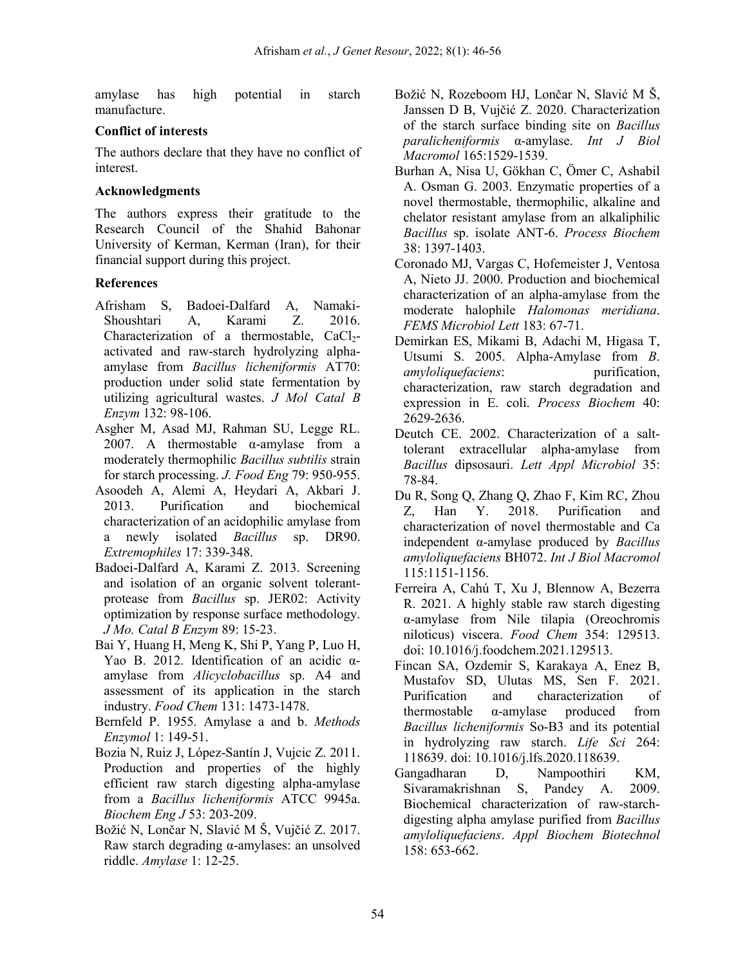amylase has high potential in starch manufacture.

### **Conflict of interests**

The authors declare that they have no conflict of interest.

### **Acknowledgments**

The authors express their gratitude to the Research Council of the Shahid Bahonar University of Kerman, Kerman (Iran), for their financial support during this project.

### **References**

- Afrisham S, Badoei-Dalfard A, Namaki-Shoushtari A, Karami Z. 2016. Characterization of a thermostable,  $CaCl<sub>2</sub>$ activated and raw-starch hydrolyzing alphaamylase from *Bacillus licheniformis* AT70: production under solid state fermentation by utilizing agricultural wastes. *J Mol Catal B Enzym* 132: 98-106.
- Asgher M, Asad MJ, Rahman SU, Legge RL. 2007. A thermostable  $\alpha$ -amylase from a moderately thermophilic *Bacillus subtilis* strain for starch processing. *J. Food Eng* 79: 950-955.
- Asoodeh A, Alemi A, Heydari A, Akbari J. 2013. Purification and biochemical characterization of an acidophilic amylase from a newly isolated *Bacillus* sp. DR90. *Extremophiles* 17: 339-348.
- Badoei-Dalfard A, Karami Z. 2013. Screening and isolation of an organic solvent tolerantprotease from *Bacillus* sp. JER02: Activity optimization by response surface methodology. *J Mo. Catal B Enzym* 89: 15-23.
- Bai Y, Huang H, Meng K, Shi P, Yang P, Luo H, Yao B. 2012. Identification of an acidic αamylase from *Alicyclobacillus* sp. A4 and assessment of its application in the starch industry. *Food Chem* 131: 1473-1478.
- Bernfeld P. 1955. Amylase a and b. *Methods Enzymol* 1: 149-51.
- Bozia N, Ruiz J, López-Santín J, Vujcic Z. 2011. Production and properties of the highly efficient raw starch digesting alpha-amylase from a *Bacillus licheniformis* ATCC 9945a. *Biochem Eng J* 53: 203-209.
- Božić N, Lončar N, Slavić M Š, Vujčić Z. 2017. Raw starch degrading α-amylases: an unsolved riddle. *Amylase* 1: 12-25.
- Božić N, Rozeboom HJ, Lončar N, Slavić M Š, Janssen D B, Vujčić Z. 2020. Characterization of the starch surface binding site on *Bacillus paralicheniformis* α-amylase. *Int J Biol Macromol* 165:1529-1539.
- Burhan A, Nisa U, Gökhan C, Ömer C, Ashabil A. Osman G. 2003. Enzymatic properties of a novel thermostable, thermophilic, alkaline and chelator resistant amylase from an alkaliphilic *Bacillus* sp. isolate ANT-6. *Process Biochem* 38: 1397-1403.
- Coronado MJ, Vargas C, Hofemeister J, Ventosa A, Nieto JJ. 2000. Production and biochemical characterization of an alpha-amylase from the moderate halophile *Halomonas meridiana*. *FEMS Microbiol Lett* 183: 67-71.
- Demirkan ES, Mikami B, Adachi M, Higasa T, Utsumi S. 2005. Alpha-Amylase from *B*. *amyloliquefaciens*: purification, characterization, raw starch degradation and expression in E. coli. *Process Biochem* 40: 2629-2636.
- Deutch CE. 2002. Characterization of a salttolerant extracellular alpha‐amylase from *Bacillus* dipsosauri. *Lett Appl Microbiol* 35: 78-84.
- Du R, Song Q, Zhang Q, Zhao F, Kim RC, Zhou Z, Han Y. 2018. Purification and characterization of novel thermostable and Ca independent α-amylase produced by *Bacillus amyloliquefaciens* BH072. *Int J Biol Macromol* 115:1151-1156.
- Ferreira A, Cahú T, Xu J, Blennow A, Bezerra R. 2021. A highly stable raw starch digesting α-amylase from Nile tilapia (Oreochromis niloticus) viscera. *Food Chem* 354: 129513. doi: 10.1016/j.foodchem.2021.129513.
- Fincan SA, Ozdemir S, Karakaya A, Enez B, Mustafov SD, Ulutas MS, Sen F. 2021. Purification and characterization of thermostable α-amylase produced from *Bacillus licheniformis* So-B3 and its potential in hydrolyzing raw starch. *Life Sci* 264: 118639. doi: 10.1016/j.lfs.2020.118639.
- Gangadharan D, Nampoothiri KM, Sivaramakrishnan S, Pandey A. 2009. Biochemical characterization of raw-starchdigesting alpha amylase purified from *Bacillus amyloliquefaciens*. *Appl Biochem Biotechnol* 158: 653-662.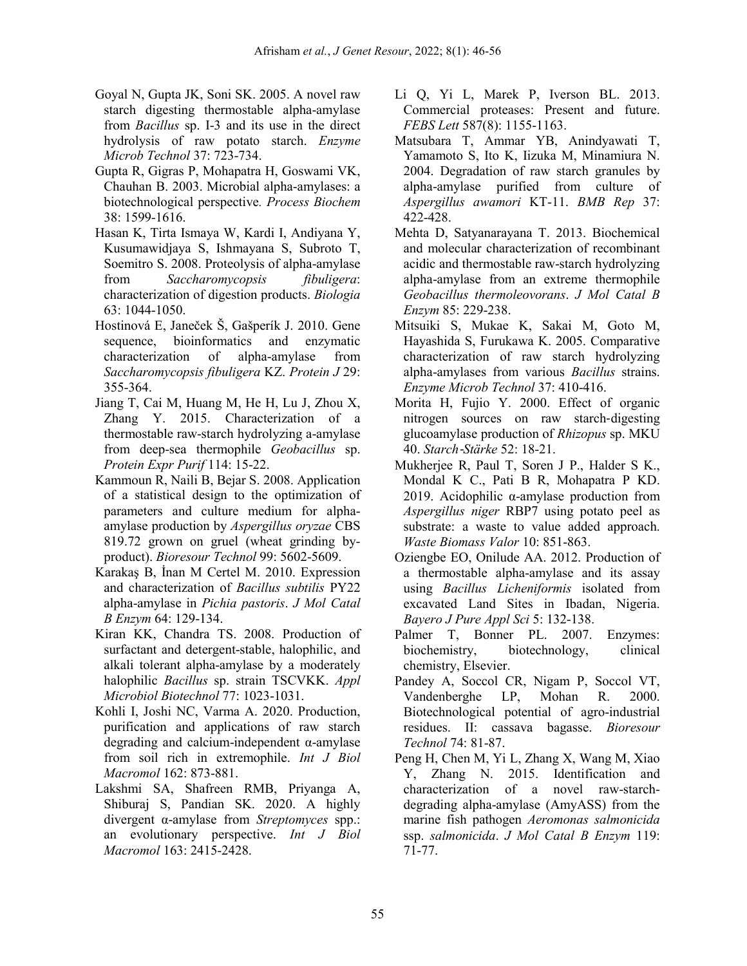- Goyal N, Gupta JK, Soni SK. 2005. A novel raw starch digesting thermostable alpha-amylase from *Bacillus* sp. I-3 and its use in the direct hydrolysis of raw potato starch. *Enzyme Microb Technol* 37: 723-734.
- Gupta R, Gigras P, Mohapatra H, Goswami VK, Chauhan B. 2003. Microbial alpha-amylases: a biotechnological perspective*. Process Biochem* 38: 1599-1616.
- Hasan K, Tirta Ismaya W, Kardi I, Andiyana Y, Kusumawidjaya S, Ishmayana S, Subroto T, Soemitro S. 2008. Proteolysis of alpha-amylase from *Saccharomycopsis fibuligera*: characterization of digestion products. *Biologia* 63: 1044-1050.
- Hostinová E, Janeček Š, Gašperík J. 2010. Gene sequence, bioinformatics and enzymatic characterization of alpha-amylase from *Saccharomycopsis fibuligera* KZ. *Protein J* 29: 355-364.
- Jiang T, Cai M, Huang M, He H, Lu J, Zhou X, Zhang Y. 2015. Characterization of a thermostable raw-starch hydrolyzing a-amylase from deep-sea thermophile *Geobacillus* sp. *Protein Expr Purif* 114: 15-22.
- Kammoun R, Naili B, Bejar S. 2008. Application of a statistical design to the optimization of parameters and culture medium for alphaamylase production by *Aspergillus oryzae* CBS 819.72 grown on gruel (wheat grinding byproduct). *Bioresour Technol* 99: 5602-5609.
- Karakaş B, İnan M Certel M. 2010. Expression and characterization of *Bacillus subtilis* PY22 alpha-amylase in *Pichia pastoris*. *J Mol Catal B Enzym* 64: 129-134.
- Kiran KK, Chandra TS. 2008. Production of surfactant and detergent-stable, halophilic, and alkali tolerant alpha-amylase by a moderately halophilic *Bacillus* sp. strain TSCVKK. *Appl Microbiol Biotechnol* 77: 1023-1031.
- Kohli I, Joshi NC, Varma A. 2020. Production, purification and applications of raw starch degrading and calcium-independent α-amylase from soil rich in extremophile. *Int J Biol Macromol* 162: 873-881.
- Lakshmi SA, Shafreen RMB, Priyanga A, Shiburaj S, Pandian SK. 2020. A highly divergent α-amylase from *Streptomyces* spp.: an evolutionary perspective. *Int J Biol Macromol* 163: 2415-2428.
- Li Q, Yi L, Marek P, Iverson BL. 2013. Commercial proteases: Present and future. *FEBS Lett* 587(8): 1155-1163.
- Matsubara T, Ammar YB, Anindyawati T, Yamamoto S, Ito K, Iizuka M, Minamiura N. 2004. Degradation of raw starch granules by alpha-amylase purified from culture of *Aspergillus awamori* KT-11. *BMB Rep* 37: 422-428.
- Mehta D, Satyanarayana T. 2013. Biochemical and molecular characterization of recombinant acidic and thermostable raw-starch hydrolyzing alpha-amylase from an extreme thermophile *Geobacillus thermoleovorans*. *J Mol Catal B Enzym* 85: 229-238.
- Mitsuiki S, Mukae K, Sakai M, Goto M, Hayashida S, Furukawa K. 2005. Comparative characterization of raw starch hydrolyzing alpha-amylases from various *Bacillus* strains. *Enzyme Microb Technol* 37: 410-416.
- Morita H, Fujio Y. 2000. Effect of organic nitrogen sources on raw starch‐digesting glucoamylase production of *Rhizopus* sp. MKU 40. *Starch*‐*Stärke* 52: 18-21.
- Mukherjee R, Paul T, Soren J P., Halder S K., Mondal K C., Pati B R, Mohapatra P KD. 2019. Acidophilic α-amylase production from *Aspergillus niger* RBP7 using potato peel as substrate: a waste to value added approach. *Waste Biomass Valor* 10: 851-863.
- Oziengbe EO, Onilude AA. 2012. Production of a thermostable alpha-amylase and its assay using *Bacillus Licheniformis* isolated from excavated Land Sites in Ibadan, Nigeria. *Bayero J Pure Appl Sci* 5: 132-138.
- Palmer T, Bonner PL. 2007. Enzymes: biochemistry, biotechnology, clinical chemistry, Elsevier.
- Pandey A, Soccol CR, Nigam P, Soccol VT, Vandenberghe LP, Mohan R. 2000. Biotechnological potential of agro-industrial residues. II: cassava bagasse. *Bioresour Technol* 74: 81-87.
- Peng H, Chen M, Yi L, Zhang X, Wang M, Xiao Y, Zhang N. 2015. Identification and characterization of a novel raw-starchdegrading alpha-amylase (AmyASS) from the marine fish pathogen *Aeromonas salmonicida* ssp. *salmonicida*. *J Mol Catal B Enzym* 119: 71-77.